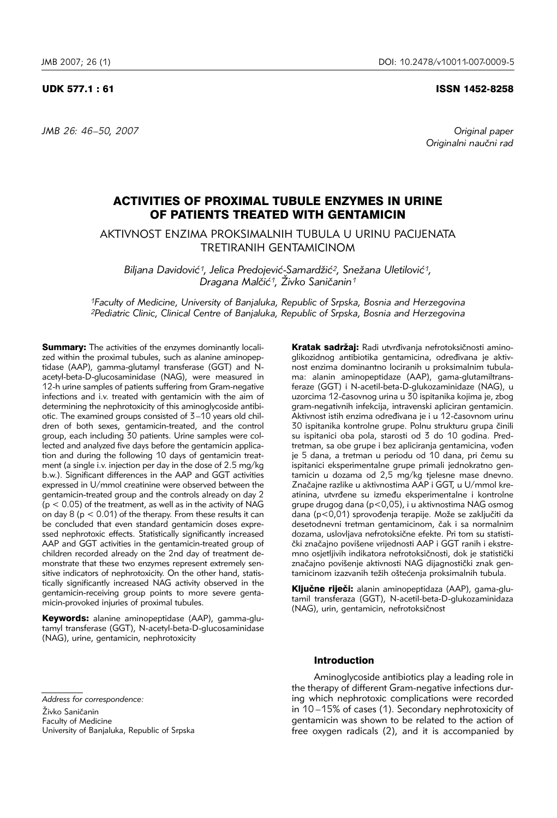## UDK 577.1 : 61 ISSN 1452-8258

Originalni naučni rad

# ACTIVITIES OF PROXIMAL TUBULE ENZYMES IN URINE OF PATIENTS TREATED WITH GENTAMICIN

AKTIVNOST ENZIMA PROKSIMALNIH TUBULA U URINU PACIJENATA TRETIRANIH GENTAMICINOM

Biljana Davidović<sup>1</sup>, Jelica Predojević-Samardžić<sup>2</sup>, Snežana Uletilović<sup>1</sup>, *Dragana Mal~i}1, @ivko Sani~anin1*

*1Faculty of Medicine, University of Banjaluka, Republic of Srpska, Bosnia and Herzegovina 2Pediatric Clinic, Clinical Centre of Banjaluka, Republic of Srpska, Bosnia and Herzegovina*

**Summary:** The activities of the enzymes dominantly localized within the proximal tubules, such as alanine aminopeptidase (AAP), gamma-glutamyl transferase (GGT) and Nacetyl-beta-D-glucosaminidase (NAG), were measured in 12-h urine samples of patients suffering from Gram-negative infections and i.v. treated with gentamicin with the aim of determining the nephrotoxicity of this aminoglycoside antibiotic. The examined groups consisted of 3–10 years old children of both sexes, gentamicin-treated, and the control group, each including 30 patients. Urine samples were collected and analyzed five days before the gentamicin application and during the following 10 days of gentamicin treatment (a single i.v. injection per day in the dose of 2.5 mg/kg b.w.). Significant differences in the AAP and GGT activities expressed in U/mmol creatinine were observed between the gentamicin-treated group and the controls already on day 2  $(p < 0.05)$  of the treatment, as well as in the activity of NAG on day  $8$  ( $p < 0.01$ ) of the therapy. From these results it can be concluded that even standard gentamicin doses expressed nephrotoxic effects. Statistically significantly increased AAP and GGT activities in the gentamicin-treated group of children recorded already on the 2nd day of treatment demonstrate that these two enzymes represent extremely sensitive indicators of nephrotoxicity. On the other hand, statistically significantly increased NAG activity observed in the gentamicin-receiving group points to more severe gentamicin-provoked injuries of proximal tubules.

Keywords: alanine aminopeptidase (AAP), gamma-glutamyl transferase (GGT), N-acetyl-beta-D-glucosaminidase (NAG), urine, gentamicin, nephrotoxicity

Kratak sadržaj: Radi utvrđivanja nefrotoksičnosti aminoglikozidnog antibiotika gentamicina, određivana je aktivnost enzima dominantno lociranih u proksimalnim tubulama: alanin aminopeptidaze (AAP), gama-glutamiltransferaze (GGT) i N-acetil-beta-D-glukozaminidaze (NAG), u uzorcima 12-časovnog urina u 30 ispitanika kojima je, zbog gram-negativnih infekcija, intravenski apliciran gentamicin. Aktivnost istih enzima određivana je i u 12-časovnom urinu 30 ispitanika kontrolne grupe. Polnu strukturu grupa činili su ispitanici oba pola, starosti od 3 do 10 godina. Predtretman, sa obe grupe i bez apliciranja gentamicina, vođen je 5 dana, a tretman u periodu od 10 dana, pri čemu su ispitanici eksperimentalne grupe primali jednokratno gentamicin u dozama od 2,5 mg/kg tjelesne mase dnevno. Značajne razlike u aktivnostima AAP i GGT, u U/mmol kreatinina, utvrđene su između eksperimentalne i kontrolne grupe drugog dana (p<0,05), i u aktivnostima NAG osmog dana (p<0,01) sprovođenja terapije. Može se zaključiti da desetodnevni tretman gentamicinom, čak i sa normalnim dozama, uslovljava nefrotoksične efekte. Pri tom su statistički značajno povišene vrijednosti AAP i GGT ranih i ekstremno osjetljivih indikatora nefrotoksičnosti, dok je statistički značajno povišenje aktivnosti NAG dijagnostički znak gentamicinom izazvanih težih oštećenja proksimalnih tubula.

Ključne riječi: alanin aminopeptidaza (AAP), gama-glutamil transferaza (GGT), N-acetil-beta-D-glukozaminidaza (NAG), urin, gentamicin, nefrotoksičnost

# Introduction

Aminoglycoside antibiotics play a leading role in the therapy of different Gram-negative infections during which nephrotoxic complications were recorded in 10 –15% of cases (1). Secondary nephrotoxicity of gentamicin was shown to be related to the action of free oxygen radicals (2), and it is accompanied by

Faculty of Medicine

University of Banjaluka, Republic of Srpska

*Address for correspondence:*

Živko Saničanin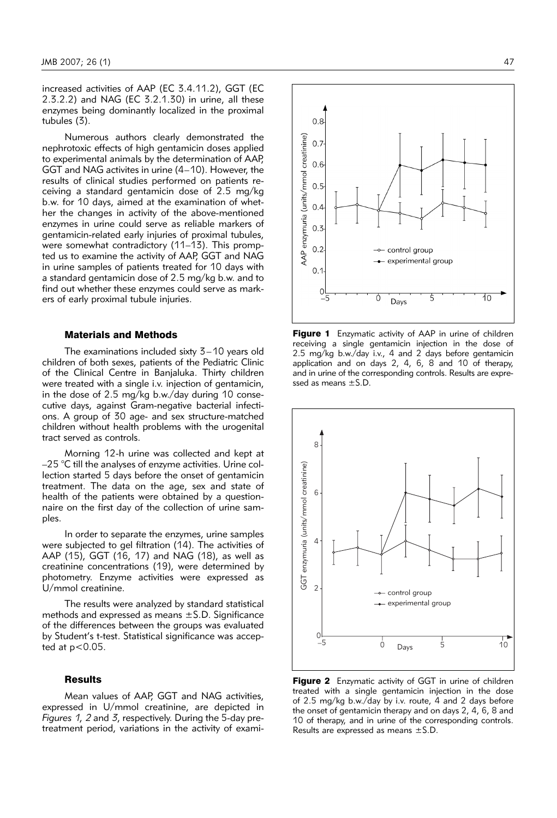increased activities of AAP (EC 3.4.11.2), GGT (EC 2.3.2.2) and NAG (EC 3.2.1.30) in urine, all these enzymes being dominantly localized in the proximal tubules (3).

Numerous authors clearly demonstrated the nephrotoxic effects of high gentamicin doses applied to experimental animals by the determination of AAP, GGT and NAG activites in urine (4–10). However, the results of clinical studies performed on patients receiving a standard gentamicin dose of 2.5 mg/kg b.w. for 10 days, aimed at the examination of whether the changes in activity of the above-mentioned enzymes in urine could serve as reliable markers of gentamicin-related early injuries of proximal tubules, were somewhat contradictory (11–13). This prompted us to examine the activity of AAP, GGT and NAG in urine samples of patients treated for 10 days with a standard gentamicin dose of 2.5 mg/kg b.w. and to find out whether these enzymes could serve as markers of early proximal tubule injuries.

#### Materials and Methods

The examinations included sixty 3–10 years old children of both sexes, patients of the Pediatric Clinic of the Clinical Centre in Banjaluka. Thirty children were treated with a single i.v. injection of gentamicin, in the dose of 2.5 mg/kg b.w./day during 10 consecutive days, against Gram-negative bacterial infections. A group of 30 age- and sex structure-matched children without health problems with the urogenital tract served as controls.

Morning 12-h urine was collected and kept at –25 °C till the analyses of enzyme activities. Urine collection started 5 days before the onset of gentamicin treatment. The data on the age, sex and state of health of the patients were obtained by a questionnaire on the first day of the collection of urine samples.

In order to separate the enzymes, urine samples were subjected to gel filtration (14). The activities of AAP (15), GGT (16, 17) and NAG (18), as well as creatinine concentrations (19), were determined by photometry. Enzyme activities were expressed as U/mmol creatinine.

The results were analyzed by standard statistical methods and expressed as means  $\pm$  S.D. Significance of the differences between the groups was evaluated by Student's t-test. Statistical significance was accepted at  $p < 0.05$ .

# **Results**

Mean values of AAP, GGT and NAG activities, expressed in U/mmol creatinine, are depicted in *Figures 1, 2* and *3*, respectively. During the 5-day pretreatment period, variations in the activity of exami-



Figure 1 Enzymatic activity of AAP in urine of children receiving a single gentamicin injection in the dose of 2.5 mg/kg b.w./day i.v., 4 and 2 days before gentamicin application and on days 2, 4, 6, 8 and 10 of therapy, and in urine of the corresponding controls. Results are expressed as means ±S.D.

Days

- control group experimental group

Ò

5

10

0 g

 $0.7$ 

 $0.6 -$ 

 $0.5 -$ 

 $0.4$ 

 $0.3 -$ 

 $0.2 -$ 

 $0.1$ 

 $\overline{O}$ 

E,

AAP enzymuria (units/mmol creatinine)



Figure 2 Enzymatic activity of GGT in urine of children treated with a single gentamicin injection in the dose of 2.5 mg/kg b.w./day by i.v. route, 4 and 2 days before the onset of gentamicin therapy and on days 2, 4, 6, 8 and 10 of therapy, and in urine of the corresponding controls. Results are expressed as means ±S.D.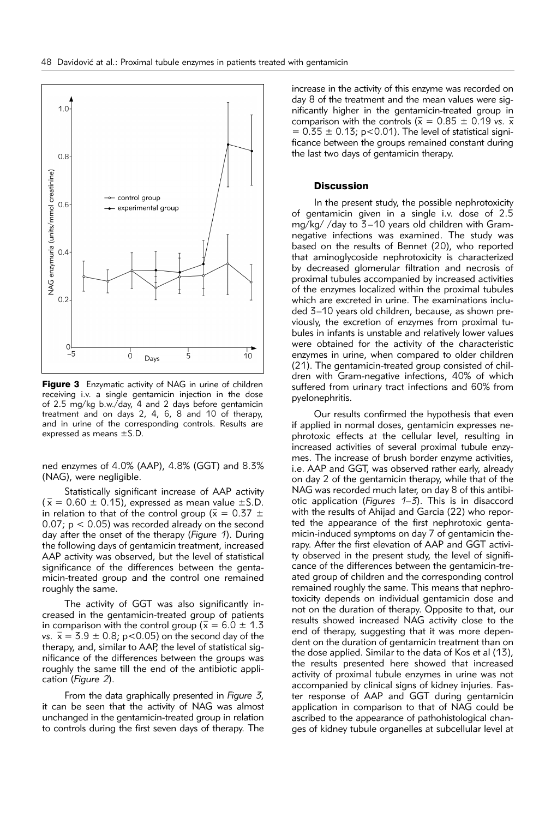

Figure 3 Enzymatic activity of NAG in urine of children receiving i.v. a single gentamicin injection in the dose of 2.5 mg/kg b.w./day, 4 and 2 days before gentamicin treatment and on days 2, 4, 6, 8 and 10 of therapy, and in urine of the corresponding controls. Results are expressed as means ±S.D.

ned enzymes of 4.0% (AAP), 4.8% (GGT) and 8.3% (NAG), were negligible.

Statistically significant increase of AAP activity  $(\bar{x} = 0.60 \pm 0.15)$ , expressed as mean value  $\pm$ S.D. in relation to that of the control group ( $\bar{x} = 0.37 \pm \frac{1}{2}$ 0.07;  $p < 0.05$ ) was recorded already on the second day after the onset of the therapy (*Figure 1*). During the following days of gentamicin treatment, increased AAP activity was observed, but the level of statistical significance of the differences between the gentamicin-treated group and the control one remained roughly the same.

The activity of GGT was also significantly increased in the gentamicin-treated group of patients in comparison with the control group ( $\bar{x} = 6.0 \pm 1.3$ *vs.*  $\bar{x} = 3.9 \pm 0.8$ ; p<0.05) on the second day of the therapy, and, similar to AAP, the level of statistical significance of the differences between the groups was roughly the same till the end of the antibiotic application (*Figure 2*).

From the data graphically presented in *Figure 3*, it can be seen that the activity of NAG was almost unchanged in the gentamicin-treated group in relation to controls during the first seven days of therapy. The increase in the activity of this enzyme was recorded on day 8 of the treatment and the mean values were significantly higher in the gentamicin-treated group in comparison with the controls ( $\bar{x} = 0.85 \pm 0.19$  vs.  $\bar{x}$  $= 0.35 \pm 0.13$ ; p<0.01). The level of statistical significance between the groups remained constant during the last two days of gentamicin therapy.

### **Discussion**

In the present study, the possible nephrotoxicity of gentamicin given in a single i.v. dose of 2.5 mg/kg/ /day to 3–10 years old children with Gramnegative infections was examined. The study was based on the results of Bennet (20), who reported that aminoglycoside nephrotoxicity is characterized by decreased glomerular filtration and necrosis of proximal tubules accompanied by increased activities of the enzymes localized within the proximal tubules which are excreted in urine. The examinations included 3–10 years old children, because, as shown previously, the excretion of enzymes from proximal tubules in infants is unstable and relatively lower values were obtained for the activity of the characteristic enzymes in urine, when compared to older children (21). The gentamicin-treated group consisted of children with Gram-negative infections, 40% of which suffered from urinary tract infections and 60% from pyelonephritis.

Our results confirmed the hypothesis that even if applied in normal doses, gentamicin expresses nephrotoxic effects at the cellular level, resulting in increased activities of several proximal tubule enzymes. The increase of brush border enzyme activities, i.e. AAP and GGT, was observed rather early, already on day 2 of the gentamicin therapy, while that of the NAG was recorded much later, on day 8 of this antibiotic application (*Figures 1*–*3*). This is in disaccord with the results of Ahijad and Garcia (22) who reported the appearance of the first nephrotoxic gentamicin-induced symptoms on day 7 of gentamicin therapy. After the first elevation of AAP and GGT activity observed in the present study, the level of significance of the differences between the gentamicin-treated group of children and the corresponding control remained roughly the same. This means that nephrotoxicity depends on individual gentamicin dose and not on the duration of therapy. Opposite to that, our results showed increased NAG activity close to the end of therapy, suggesting that it was more dependent on the duration of gentamicin treatment than on the dose applied. Similar to the data of Kos et al (13), the results presented here showed that increased activity of proximal tubule enzymes in urine was not accompanied by clinical signs of kidney injuries. Faster response of AAP and GGT during gentamicin application in comparison to that of NAG could be ascribed to the appearance of pathohistological changes of kidney tubule organelles at subcellular level at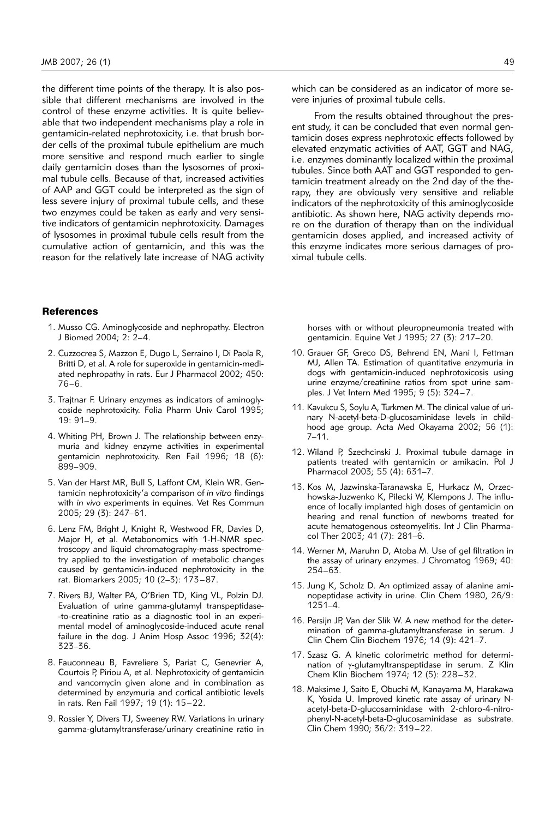the different time points of the therapy. It is also possible that different mechanisms are involved in the control of these enzyme activities. It is quite believable that two independent mechanisms play a role in gentamicin-related nephrotoxicity, i.e. that brush border cells of the proximal tubule epithelium are much more sensitive and respond much earlier to single daily gentamicin doses than the lysosomes of proximal tubule cells. Because of that, increased activities of AAP and GGT could be interpreted as the sign of less severe injury of proximal tubule cells, and these two enzymes could be taken as early and very sensitive indicators of gentamicin nephrotoxicity. Damages of lysosomes in proximal tubule cells result from the cumulative action of gentamicin, and this was the reason for the relatively late increase of NAG activity

# **References**

- 1. Musso CG. Aminoglycoside and nephropathy. Electron J Biomed 2004; 2: 2–4.
- 2. Cuzzocrea S, Mazzon E, Dugo L, Serraino I, Di Paola R, Britti D, et al. A role for superoxide in gentamicin-mediated nephropathy in rats. Eur J Pharmacol 2002; 450: 76–6.
- 3. Trajtnar F. Urinary enzymes as indicators of aminoglycoside nephrotoxicity. Folia Pharm Univ Carol 1995; 19: 91–9.
- 4. Whiting PH, Brown J. The relationship between enzymuria and kidney enzyme activities in experimental gentamicin nephrotoxicity. Ren Fail 1996; 18 (6): 899–909.
- 5. Van der Harst MR, Bull S, Laffont CM, Klein WR. Gentamicin nephrotoxicity'a comparison of *in vitro* findings with *in vivo* experiments in equines. Vet Res Commun 2005; 29 (3): 247–61.
- 6. Lenz FM, Bright J, Knight R, Westwood FR, Davies D, Major H, et al. Metabonomics with 1-H-NMR spectroscopy and liquid chromatography-mass spectrometry applied to the investigation of metabolic changes caused by gentamicin-induced nephrotoxicity in the rat. Biomarkers 2005; 10 (2–3): 173–87.
- 7. Rivers BJ, Walter PA, O'Brien TD, King VL, Polzin DJ. Evaluation of urine gamma-glutamyl transpeptidase- -to-creatinine ratio as a diagnostic tool in an experimental model of aminoglycoside-induced acute renal failure in the dog. J Anim Hosp Assoc 1996; 32(4): 323–36.
- 8. Fauconneau B, Favreliere S, Pariat C, Genevrier A, Courtois P, Piriou A, et al. Nephrotoxicity of gentamicin and vancomycin given alone and in combination as determined by enzymuria and cortical antibiotic levels in rats. Ren Fail 1997; 19 (1): 15–22.
- 9. Rossier Y, Divers TJ, Sweeney RW. Variations in urinary gamma-glutamyltransferase/urinary creatinine ratio in

which can be considered as an indicator of more severe injuries of proximal tubule cells.

From the results obtained throughout the present study, it can be concluded that even normal gentamicin doses express nephrotoxic effects followed by elevated enzymatic activities of AAT, GGT and NAG, i.e. enzymes dominantly localized within the proximal tubules. Since both AAT and GGT responded to gentamicin treatment already on the 2nd day of the therapy, they are obviously very sensitive and reliable indicators of the nephrotoxicity of this aminoglycoside antibiotic. As shown here, NAG activity depends more on the duration of therapy than on the individual gentamicin doses applied, and increased activity of this enzyme indicates more serious damages of proximal tubule cells.

horses with or without pleuropneumonia treated with gentamicin. Equine Vet J 1995; 27 (3): 217–20.

- 10. Grauer GF, Greco DS, Behrend EN, Mani I, Fettman MJ, Allen TA. Estimation of quantitative enzymuria in dogs with gentamicin-induced nephrotoxicosis using urine enzyme/creatinine ratios from spot urine samples. J Vet Intern Med 1995; 9 (5): 324–7.
- 11. Kavukcu S, Soylu A, Turkmen M. The clinical value of urinary N-acetyl-beta-D-glucosaminidase levels in childhood age group. Acta Med Okayama 2002; 56 (1): 7–11.
- 12. Wiland P, Szechcinski J. Proximal tubule damage in patients treated with gentamicin or amikacin. Pol J Pharmacol 2003; 55 (4): 631–7.
- 13. Kos M, Jazwinska-Taranawska E, Hurkacz M, Orzechowska-Juzwenko K, Pilecki W, Klempons J. The influence of locally implanted high doses of gentamicin on hearing and renal function of newborns treated for acute hematogenous osteomyelitis. Int J Clin Pharmacol Ther 2003; 41 (7): 281–6.
- 14. Werner M, Maruhn D, Atoba M. Use of gel filtration in the assay of urinary enzymes. J Chromatog 1969; 40: 254–63.
- 15. Jung K, Scholz D. An optimized assay of alanine aminopeptidase activity in urine. Clin Chem 1980, 26/9: 1251–4.
- 16. Persijn JP, Van der Slik W. A new method for the determination of gamma-glutamyltransferase in serum. J Clin Chem Clin Biochem 1976; 14 (9): 421–7.
- 17. Szasz G. A kinetic colorimetric method for determination of  $\gamma$ -glutamyltranspeptidase in serum. Z Klin Chem Klin Biochem 1974; 12 (5): 228–32.
- 18. Maksime J, Saito E, Obuchi M, Kanayama M, Harakawa K, Yosida U. Improved kinetic rate assay of urinary Nacetyl-beta-D-glucosaminidase with 2-chloro-4-nitrophenyl-N-acetyl-beta-D-glucosaminidase as substrate. Clin Chem 1990; 36/2: 319–22.